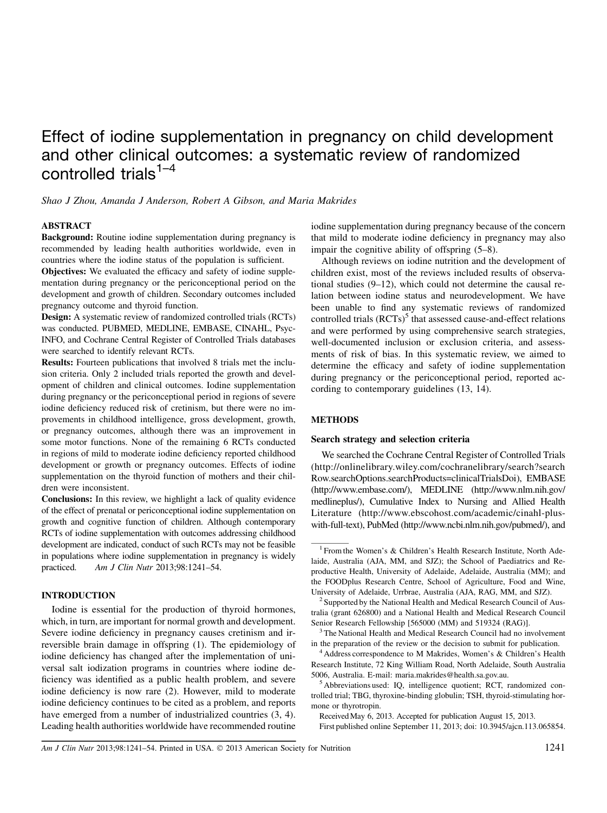# Effect of iodine supplementation in pregnancy on child development and other clinical outcomes: a systematic review of randomized controlled trials $1-4$

Shao J Zhou, Amanda J Anderson, Robert A Gibson, and Maria Makrides

## ABSTRACT

Background: Routine iodine supplementation during pregnancy is recommended by leading health authorities worldwide, even in countries where the iodine status of the population is sufficient.

Objectives: We evaluated the efficacy and safety of iodine supplementation during pregnancy or the periconceptional period on the development and growth of children. Secondary outcomes included pregnancy outcome and thyroid function.

Design: A systematic review of randomized controlled trials (RCTs) was conducted. PUBMED, MEDLINE, EMBASE, CINAHL, Psyc-INFO, and Cochrane Central Register of Controlled Trials databases were searched to identify relevant RCTs.

Results: Fourteen publications that involved 8 trials met the inclusion criteria. Only 2 included trials reported the growth and development of children and clinical outcomes. Iodine supplementation during pregnancy or the periconceptional period in regions of severe iodine deficiency reduced risk of cretinism, but there were no improvements in childhood intelligence, gross development, growth, or pregnancy outcomes, although there was an improvement in some motor functions. None of the remaining 6 RCTs conducted in regions of mild to moderate iodine deficiency reported childhood development or growth or pregnancy outcomes. Effects of iodine supplementation on the thyroid function of mothers and their children were inconsistent.

Conclusions: In this review, we highlight a lack of quality evidence of the effect of prenatal or periconceptional iodine supplementation on growth and cognitive function of children. Although contemporary RCTs of iodine supplementation with outcomes addressing childhood development are indicated, conduct of such RCTs may not be feasible in populations where iodine supplementation in pregnancy is widely practiced. Am J Clin Nutr 2013;98:1241–54.

## INTRODUCTION

Iodine is essential for the production of thyroid hormones, which, in turn, are important for normal growth and development. Severe iodine deficiency in pregnancy causes cretinism and irreversible brain damage in offspring (1). The epidemiology of iodine deficiency has changed after the implementation of universal salt iodization programs in countries where iodine deficiency was identified as a public health problem, and severe iodine deficiency is now rare (2). However, mild to moderate iodine deficiency continues to be cited as a problem, and reports have emerged from a number of industrialized countries  $(3, 4)$ . Leading health authorities worldwide have recommended routine iodine supplementation during pregnancy because of the concern that mild to moderate iodine deficiency in pregnancy may also impair the cognitive ability of offspring (5–8).

Although reviews on iodine nutrition and the development of children exist, most of the reviews included results of observational studies (9–12), which could not determine the causal relation between iodine status and neurodevelopment. We have been unable to find any systematic reviews of randomized controlled trials  $(RCTs)^5$  that assessed cause-and-effect relations and were performed by using comprehensive search strategies, well-documented inclusion or exclusion criteria, and assessments of risk of bias. In this systematic review, we aimed to determine the efficacy and safety of iodine supplementation during pregnancy or the periconceptional period, reported according to contemporary guidelines (13, 14).

#### METHODS

#### Search strategy and selection criteria

We searched the Cochrane Central Register of Controlled Trials (http://onlinelibrary.wiley.com/cochranelibrary/search?search Row.searchOptions.searchProducts=clinicalTrialsDoi), EMBASE (http://www.embase.com/), MEDLINE (http://www.nlm.nih.gov/ medlineplus/), Cumulative Index to Nursing and Allied Health Literature (http://www.ebscohost.com/academic/cinahl-pluswith-full-text), PubMed (http://www.ncbi.nlm.nih.gov/pubmed/), and

First published online September 11, 2013; doi: 10.3945/ajcn.113.065854.

Am J Clin Nutr 2013;98:1241–54. Printed in USA. © 2013 American Society for Nutrition 1241

<sup>&</sup>lt;sup>1</sup> From the Women's & Children's Health Research Institute, North Adelaide, Australia (AJA, MM, and SJZ); the School of Paediatrics and Reproductive Health, University of Adelaide, Adelaide, Australia (MM); and the FOODplus Research Centre, School of Agriculture, Food and Wine, University of Adelaide, Urrbrae, Australia (AJA, RAG, MM, and SJZ).<br><sup>2</sup> Supported by the National Health and Medical Research Council of Aus-

tralia (grant 626800) and a National Health and Medical Research Council Senior Research Fellowship [565000 (MM) and 519324 (RAG)].<br><sup>3</sup> The National Health and Medical Research Council had no involvement

in the preparation of the review or the decision to submit for publication. <sup>4</sup> Address correspondence to M Makrides, Women's & Children's Health

Research Institute, 72 King William Road, North Adelaide, South Australia 5006, Australia. E-mail: maria.makrides@health.sa.gov.au.

 $<sup>5</sup>$  Abbreviations used: IQ, intelligence quotient; RCT, randomized con-</sup> trolled trial; TBG, thyroxine-binding globulin; TSH, thyroid-stimulating hormone or thyrotropin.

Received May 6, 2013. Accepted for publication August 15, 2013.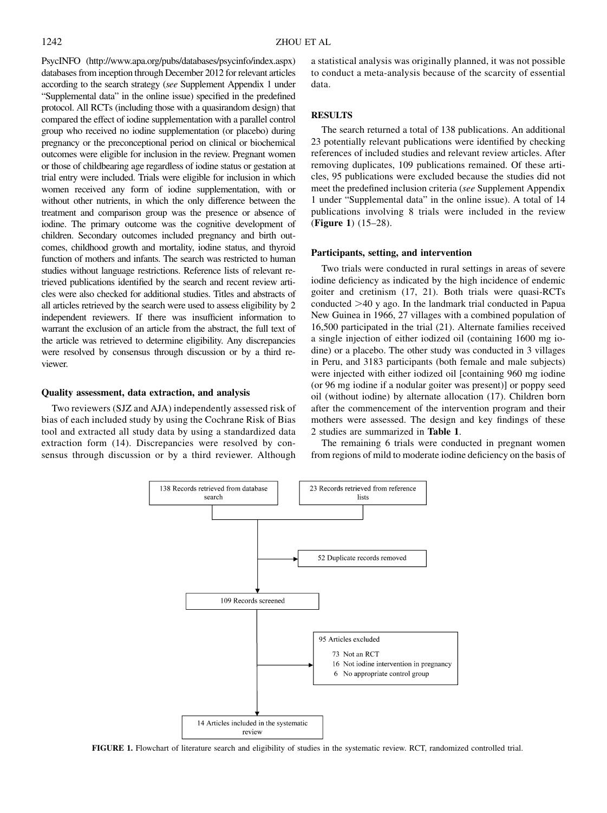PsycINFO (http://www.apa.org/pubs/databases/psycinfo/index.aspx) databases from inception through December 2012 for relevant articles according to the search strategy (see Supplement Appendix 1 under "Supplemental data" in the online issue) specified in the predefined protocol. All RCTs (including those with a quasirandom design) that compared the effect of iodine supplementation with a parallel control group who received no iodine supplementation (or placebo) during pregnancy or the preconceptional period on clinical or biochemical outcomes were eligible for inclusion in the review. Pregnant women or those of childbearing age regardless of iodine status or gestation at trial entry were included. Trials were eligible for inclusion in which women received any form of iodine supplementation, with or without other nutrients, in which the only difference between the treatment and comparison group was the presence or absence of iodine. The primary outcome was the cognitive development of children. Secondary outcomes included pregnancy and birth outcomes, childhood growth and mortality, iodine status, and thyroid function of mothers and infants. The search was restricted to human studies without language restrictions. Reference lists of relevant retrieved publications identified by the search and recent review articles were also checked for additional studies. Titles and abstracts of all articles retrieved by the search were used to assess eligibility by 2 independent reviewers. If there was insufficient information to warrant the exclusion of an article from the abstract, the full text of the article was retrieved to determine eligibility. Any discrepancies were resolved by consensus through discussion or by a third reviewer.

#### Quality assessment, data extraction, and analysis

Two reviewers (SJZ and AJA) independently assessed risk of bias of each included study by using the Cochrane Risk of Bias tool and extracted all study data by using a standardized data extraction form (14). Discrepancies were resolved by consensus through discussion or by a third reviewer. Although

a statistical analysis was originally planned, it was not possible to conduct a meta-analysis because of the scarcity of essential data.

#### **RESULTS**

The search returned a total of 138 publications. An additional 23 potentially relevant publications were identified by checking references of included studies and relevant review articles. After removing duplicates, 109 publications remained. Of these articles, 95 publications were excluded because the studies did not meet the predefined inclusion criteria (see Supplement Appendix 1 under "Supplemental data" in the online issue). A total of 14 publications involving 8 trials were included in the review (Figure 1) (15–28).

# Participants, setting, and intervention

Two trials were conducted in rural settings in areas of severe iodine deficiency as indicated by the high incidence of endemic goiter and cretinism (17, 21). Both trials were quasi-RCTs conducted  $>40$  y ago. In the landmark trial conducted in Papua New Guinea in 1966, 27 villages with a combined population of 16,500 participated in the trial (21). Alternate families received a single injection of either iodized oil (containing 1600 mg iodine) or a placebo. The other study was conducted in 3 villages in Peru, and 3183 participants (both female and male subjects) were injected with either iodized oil [containing 960 mg iodine (or 96 mg iodine if a nodular goiter was present)] or poppy seed oil (without iodine) by alternate allocation (17). Children born after the commencement of the intervention program and their mothers were assessed. The design and key findings of these 2 studies are summarized in Table 1.

The remaining 6 trials were conducted in pregnant women from regions of mild to moderate iodine deficiency on the basis of



FIGURE 1. Flowchart of literature search and eligibility of studies in the systematic review. RCT, randomized controlled trial.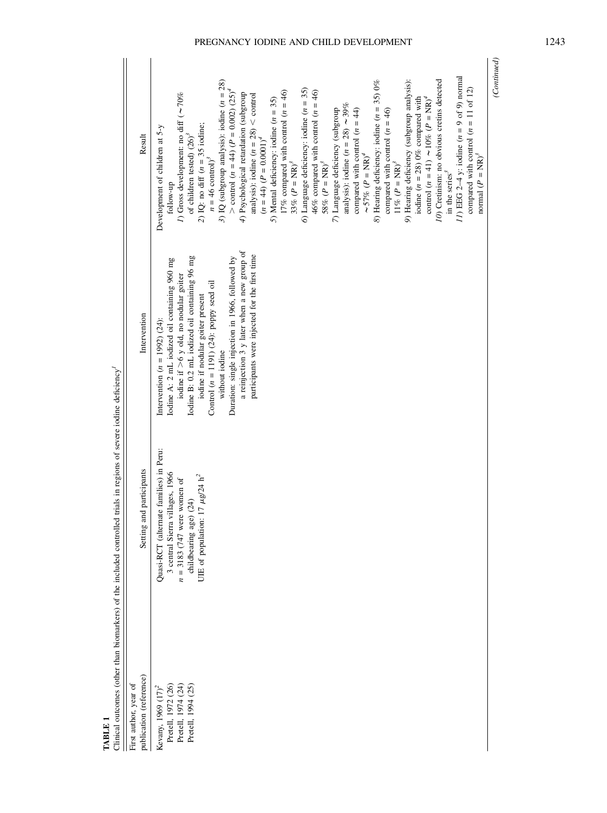| TABLE 1                                                                                          | Clinical outcomes (other than biomarkers) of the included controlled trials in regions of severe iodine deficiency <sup>1</sup>                                                          |                                                                                                                                                                                                                                                                                                                                                                                                                                     |                                                                                                                                                                                                                                                                                                                                                                                                                                                                                                                                                                                                                                                                                                                                                                                                                                                                                                                                                                                                                                                                                                                                                                                                                                  |  |
|--------------------------------------------------------------------------------------------------|------------------------------------------------------------------------------------------------------------------------------------------------------------------------------------------|-------------------------------------------------------------------------------------------------------------------------------------------------------------------------------------------------------------------------------------------------------------------------------------------------------------------------------------------------------------------------------------------------------------------------------------|----------------------------------------------------------------------------------------------------------------------------------------------------------------------------------------------------------------------------------------------------------------------------------------------------------------------------------------------------------------------------------------------------------------------------------------------------------------------------------------------------------------------------------------------------------------------------------------------------------------------------------------------------------------------------------------------------------------------------------------------------------------------------------------------------------------------------------------------------------------------------------------------------------------------------------------------------------------------------------------------------------------------------------------------------------------------------------------------------------------------------------------------------------------------------------------------------------------------------------|--|
| publication (reference)<br>First author, year of                                                 | and participants<br><b>Setting</b>                                                                                                                                                       | Intervention                                                                                                                                                                                                                                                                                                                                                                                                                        | Result                                                                                                                                                                                                                                                                                                                                                                                                                                                                                                                                                                                                                                                                                                                                                                                                                                                                                                                                                                                                                                                                                                                                                                                                                           |  |
| Pretell, 1972 (26)<br>Pretell, 1974 (24)<br>Pretell, 1994 (25)<br>Kevany, 1969 (17) <sup>2</sup> | Quasi-RCT (alternate families) in Peru:<br>3 central Sierra villages, 1966<br>UIE of population: 17 $\mu$ g/24 h <sup>2</sup><br>$n = 3183$ (747 were women of<br>childbearing age) (24) | a reinjection 3 y later when a new group of<br>participants were injected for the first time<br>Iodine B: 0.2 mL iodized oil containing 96 mg<br>Duration: single injection in 1966, followed by<br>Iodine A: 2 mL iodized oil containing 960 mg<br>iodine if $>6$ y old, no nodular goiter<br>Control $(n = 1191)$ (24): poppy seed oil<br>iodine if nodular goiter present<br>Intervention ( $n = 1992$ ) (24):<br>without iodine | 11) EEG 2-4 y: iodine $(n = 9$ of 9) normal<br>9) Hearing deficiency (subgroup analysis):<br>10) Cretinism: no obvious cretins detected<br>3) IQ (subgroup analysis): iodine $(n = 28)$<br>8) Hearing deficiency: iodine $(n = 35)$ 0%<br>$>$ control $(n = 44)$ $(P = 0.002)$ $(25)4$<br>6) Language deficiency: iodine $(n = 35)$<br>compared with control $(n = 11$ of 12)<br>17% compared with control ( $n = 46$ )<br>46% compared with control $(n = 46)$<br>4) Psychological retardation (subgroup<br>I) Gross development: no diff ( $\sim$ 70%<br>analysis): iodine $(n = 28) <$ control<br>control $(n = 41) \sim 10\%$ $(P = NR)^4$<br>5) Mental deficiency: iodine $(n = 35)$<br>iodine ( $n = 28$ ) 0% compared with<br>analysis): iodine ( $n = 28$ ) ~39%<br>7) Language deficiency (subgroup<br>compared with control $(n = 44)$<br>compared with control $(n = 46)$<br>11% $(P = NR)^3$<br>2) IQ: no diff $(n = 35 \text{ iodine})$ ;<br>Development of children at 5-y<br>of children tested) $(26)3$<br>$(n = 44) (P = 0.0001)^4$<br>$\sim$ 57% $(P = \text{NR})^4$<br>normal $(P = \text{NR})^3$<br>$n = 46$ control) <sup>3</sup><br>58% $(P = NR)^3$<br>33% $(P = NR)^3$<br>in the series $3$<br>follow-up |  |

(Continued)

 $(Continued)$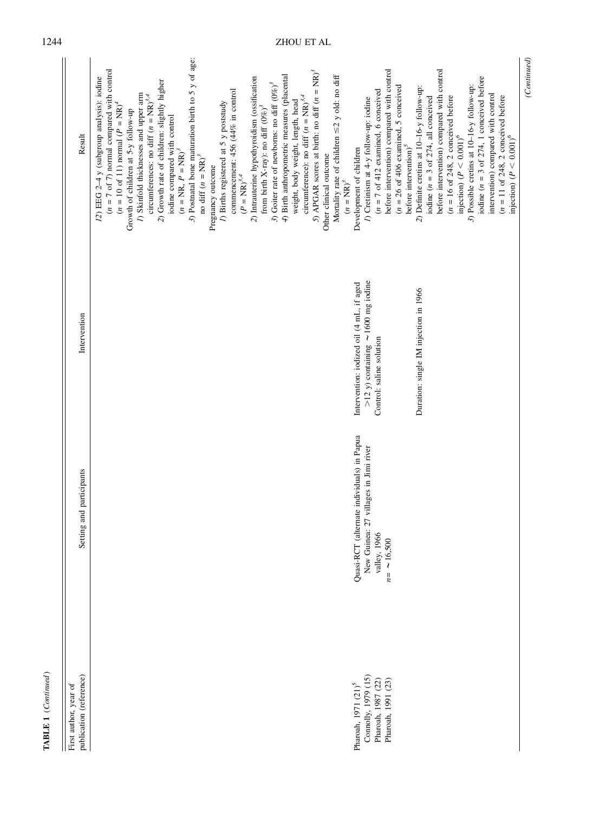| ۰ |
|---|
|   |
|   |
|   |
| ፡ |

| publication (reference)<br>First author, year of                                                   | Setting and participants                                                                                                 | Intervention                                                                                                    | Result                                                                                                                                                                                                                                                                                                                                                                                                                                                                                                                                              |
|----------------------------------------------------------------------------------------------------|--------------------------------------------------------------------------------------------------------------------------|-----------------------------------------------------------------------------------------------------------------|-----------------------------------------------------------------------------------------------------------------------------------------------------------------------------------------------------------------------------------------------------------------------------------------------------------------------------------------------------------------------------------------------------------------------------------------------------------------------------------------------------------------------------------------------------|
|                                                                                                    |                                                                                                                          |                                                                                                                 | $(n = 7$ of 7) normal compared with control<br>12) EEG $2-4$ y (subgroup analysis): iodine<br>2) Growth rate of children: slightly higher<br>1) Skinfold thicknesses and upper arm<br>circumferences: no diff $(n = NR)^{3,4}$<br>$(n = 10 \text{ of } 11) \text{ normal } (P = \text{NR})^4$<br>Growth of children at 5-y follow-up<br>iodine compared with control<br>$(n = NR, P = NR)^3$                                                                                                                                                        |
|                                                                                                    |                                                                                                                          |                                                                                                                 | 3) Postnatal bone maturation birth to 5 y of age:<br>5) APGAR scores at birth: no diff $(n = NR)^3$<br>4) Birth anthropometric measures (placental<br>2) Intrauterine hypothyroidism (ossification<br>3) Goiter rate of newborns: no diff $(0\%)^3$<br>commencement: $456 (44\% \text{ in control})$<br>circumference): no diff $(n = NR)^{3,4}$<br>weight, body weight, length, head<br>I) Births registered at 5 y poststudy<br>from birth X-ray): no diff $(0\%)^3$<br>no diff $(n = \text{NR})^3$<br>Pregnancy outcome<br>$(P=\text{NR})^{3,4}$ |
| Connolly, 1979 (15)<br>Pharoah, 1991 (23)<br>Pharoah, 1987 (22)<br>Pharoah, 1971 (21) <sup>5</sup> | Quasi-RCT (alternate individuals) in Papua<br>New Guinea: 27 villages in Jimi river<br>valley, 1966<br>$n = \sim 16,500$ | >12 y) containing $\sim$ 1600 mg iodine<br>Intervention: iodized oil (4 mL, if aged<br>Control: saline solution | before intervention) compared with control<br>Mortality rate of children $\leq$ 2 y old: no diff<br>$(n = 26$ of 406 examined, 5 conceived<br>$(n = 7 \text{ of } 412 \text{ examined}, 6 \text{ conceived}$<br>1) Cretinism at 4-y follow-up: iodine<br>Development of children<br>Other clinical outcome<br>$(n = \text{NR})^3$                                                                                                                                                                                                                   |
|                                                                                                    |                                                                                                                          | Duration: single IM injection in 1966                                                                           | before intervention) compared with control<br>iodine ( $n = 3$ of 274, 1 conceived before<br>3) Possible cretins at 10-16-y follow-up:<br>2) Definite cretins at $10-16-y$ follow-up:<br>intervention) compared with control<br>$(n = 11$ of 248, 2 conceived before<br>iodine ( $n = 3$ of 274, all conceived<br>$(n = 16$ of 248, 2 conceived before<br>injection) ( $P < 0.001$ ) <sup>6</sup><br>injection) ( $P < 0.001$ ) <sup>6</sup><br>before intervention) $^5$                                                                           |

(Continued)

 $(Continued) % \begin{minipage}[b]{0.5\linewidth} \centering \centerline{\includegraphics[width=0.5\linewidth]{images/STM1000.pdf} \centerline{\includegraphics[width=0.5\linewidth]{images/STM1000.pdf} \centerline{\includegraphics[width=0.5\linewidth]{images/STM1000.pdf} \centerline{\includegraphics[width=0.5\linewidth]{images/STM1000.pdf} \centerline{\includegraphics[width=0.5\linewidth]{images/STM1000.pdf} \centerline{\includegraphics[width=0.5\linewidth]{images/STM1000.pdf} \centerline{\includegraphics[width=0.5\linewidth]{images/STM1000.pdf} \centerline{\includegraphics[width=0.5\linewidth]{images/STM100$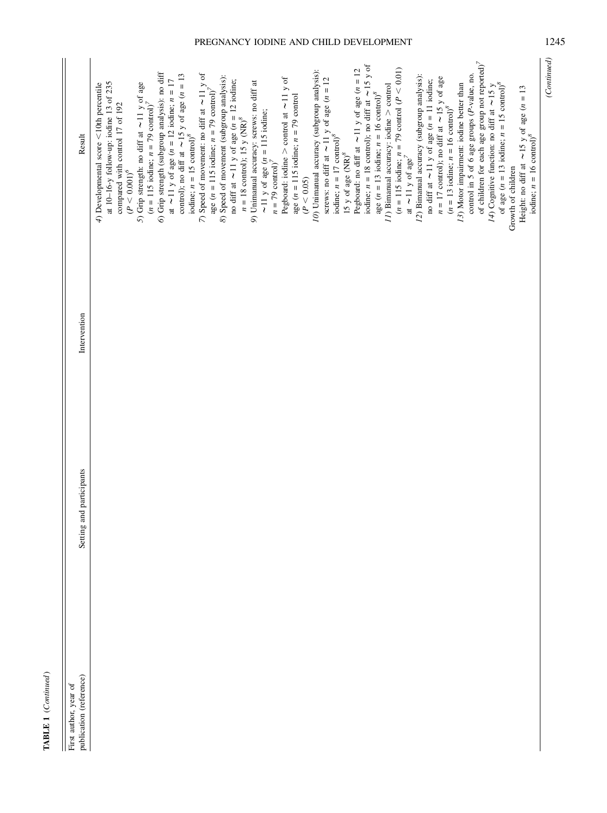| ۰ |  |
|---|--|
|   |  |
|   |  |
|   |  |

| publication (reference)<br>First author, year of | Setting and participants | Intervention | Result                                                                                                    |
|--------------------------------------------------|--------------------------|--------------|-----------------------------------------------------------------------------------------------------------|
|                                                  |                          |              | 4) Developmental score <10th percentile                                                                   |
|                                                  |                          |              | at 10-16-y follow-up: iodine 13 of 235                                                                    |
|                                                  |                          |              | compared with control 17 of 192                                                                           |
|                                                  |                          |              | $(P<0.001)^6$                                                                                             |
|                                                  |                          |              | 5) Grip strength: no diff at $\sim$ 11 y of age                                                           |
|                                                  |                          |              | $(n = 115 \text{ iodine}; n = 79 \text{ control})^7$                                                      |
|                                                  |                          |              | 6) Grip strength (subgroup analysis): no diff                                                             |
|                                                  |                          |              | at $\sim$ 11 y of age (n = 12 iodine; n = 17                                                              |
|                                                  |                          |              | control); no diff at $\sim$ 15 y of age ( <i>n</i> = 13 iodine; <i>n</i> = 15 control) <sup>8</sup>       |
|                                                  |                          |              |                                                                                                           |
|                                                  |                          |              | 7) Speed of movement: no diff at $\sim$ 11 y of<br>age ( $n = 115$ iodine; $n = 79$ control) <sup>7</sup> |
|                                                  |                          |              |                                                                                                           |
|                                                  |                          |              | 8) Speed of movement (subgroup analysis):                                                                 |
|                                                  |                          |              | no diff at $\sim$ 11 y of age ( <i>n</i> = 12 iodine;<br><i>n</i> = 18 control); 15 y (NR) <sup>8</sup>   |
|                                                  |                          |              |                                                                                                           |
|                                                  |                          |              | 9) Unimanual accuracy: screws: no diff at                                                                 |
|                                                  |                          |              | $\sim$ 11 y of age (n = 115 iodine;                                                                       |
|                                                  |                          |              | $n=79~\mathrm{control})^7$                                                                                |
|                                                  |                          |              | Pegboard: iodine > control at $\sim$ 11 y of                                                              |
|                                                  |                          |              | age ( $n = 115$ iodine; $n = 79$ control                                                                  |
|                                                  |                          |              | (P < 0.05)                                                                                                |
|                                                  |                          |              | 10) Unimanual accuracy (subgroup analysis):                                                               |
|                                                  |                          |              |                                                                                                           |
|                                                  |                          |              | screws: no diff at $\sim$ 11 y of age ( <i>n</i> = 12<br>iodine; <i>n</i> = 17 control) <sup>8</sup>      |
|                                                  |                          |              |                                                                                                           |
|                                                  |                          |              | 15 y of age $(NR)$ <sup>8</sup>                                                                           |
|                                                  |                          |              | Pegboard: no diff at $\sim$ 11 y of age (n = 12                                                           |
|                                                  |                          |              | iodine; $n = 18$ control); no diff at $\sim 15$ y of                                                      |
|                                                  |                          |              | age ( $n = 13$ iodine; $n = 16$ control) <sup>8</sup>                                                     |
|                                                  |                          |              | 11) Bimanual accuracy: iodine $>$ control                                                                 |
|                                                  |                          |              | $(n = 115 \text{ iodine}; n = 79 \text{ control } (P < 0.01)$<br>at $\sim 11 \text{ y of age}^7$          |
|                                                  |                          |              |                                                                                                           |
|                                                  |                          |              | 12) Bimanual accuracy (subgroup analysis):                                                                |
|                                                  |                          |              | no diff at $\sim$ 11 y of age ( $n = 11$ iodine;                                                          |
|                                                  |                          |              | $n = 17$ control); no diff at $\sim 15$ y of age<br>( $n = 13$ iodine; $n = 16$ control) <sup>8</sup>     |
|                                                  |                          |              |                                                                                                           |
|                                                  |                          |              | 13) Motor impairment: iodine better than                                                                  |
|                                                  |                          |              | control in 5 of 6 age groups (P-value, no.                                                                |
|                                                  |                          |              | of children for each age group not reported) <sup>7</sup>                                                 |
|                                                  |                          |              | 14) Cognitive function: no diff at $\sim$ 15 y                                                            |
|                                                  |                          |              | of age ( $n = 13$ iodine; $n = 15$ control) <sup>8</sup>                                                  |
|                                                  |                          |              | Growth of children                                                                                        |
|                                                  |                          |              |                                                                                                           |
|                                                  |                          |              | Height: no diff at $\sim$ 15 y of age ( $n = 13$ )<br>iodine; $n = 16$ control) <sup>8</sup>              |
|                                                  |                          |              | (Continued)                                                                                               |
|                                                  |                          |              |                                                                                                           |

# PREGNANCY IODINE AND CHILD DEVELOPMENT 1245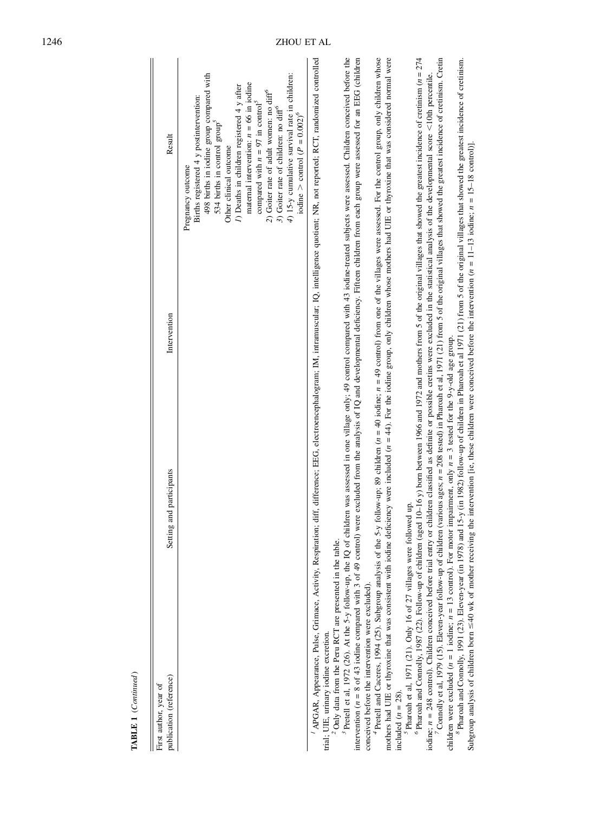**TABLE 1** (Continued) TABLE 1 (Continued)

| First author, year of   |                             |              |                                                     |
|-------------------------|-----------------------------|--------------|-----------------------------------------------------|
| publication (reference) | and participants<br>Setting | Intervention | Result                                              |
|                         |                             |              | Pregnancy outcome                                   |
|                         |                             |              | Births registered 4 y postintervention:             |
|                         |                             |              | 498 births in iodine group compared with            |
|                         |                             |              | 534 births in control group <sup>-</sup>            |
|                         |                             |              | Other clinical outcome                              |
|                         |                             |              | 1) Deaths in children registered 4 y after          |
|                         |                             |              | matemal intervention: $n = 66$ in iodine            |
|                         |                             |              | compared with $n = 97$ in control <sup>2</sup>      |
|                         |                             |              | 2) Goiter rate of adult women: no diff <sup>o</sup> |
|                         |                             |              | Goiter rate of children: no diff <sup>o</sup>       |
|                         |                             |              | $4$ ) 15-y cumulative survival rate in children:    |
|                         |                             |              | iodine > control $(P = 0.002)^{\circ}$              |

trial; UIE, urinary iodine excretion. Ĕ

 $^{2}$ Only data from the Peru RCT are presented in the table. Only data from the Peru RCT are presented in the table.

intervention  $(n = 8$  of 43 iodine compared with 3 of 49 control) were excluded from the analysis of IQ and developmental deficiency. Fifteen children from each group were assessed for an EEG (children <sup>3</sup>Pretell et al. 1972 (26). At the 5-y follow-up, the IQ of children was assessed in one village only; 49 control compared with 43 iodine-treated subjects were assessed. Children conceived before the Pretell et al, 1972 (26). At the 5-y follow-up, the IQ of children was assessed in one village only; 49 control compared with 43 iodine-treated subjects were assessed. Children conceived before the intervention ( $n = 8$  of 43 iodine compared with 3 of 49 control) were excluded from the analysis of  $\Omega$  and developmental deficiency. Fifteen children from each group were assessed for an EEG (children conceived before the intervention were excluded). conceived before the intervention were excluded).

 ${}^4$ Pretell and Caceres, 1994 (25). Subgroup analysis of the 5-y follow-up; 89 children  $(n = 40$  iodine;  $n = 49$  control) from one of the villages were assessed. For the control group, only children whose mothers had UIE or thyroxine that was consistent with iodine deficiency were included (n = 44). For the iodine group, only children whose mothers had UIE or thyroxine that was considered normal were "Pretell and Caceres, 1994 (25). Subgroup analysis of the 5-y follow-up; 89 children (n = 40 iodine; n = 49 collidren (n = 49 control) from one of the villages were assessed. For the control group, only children whose mothers had UIE or thyroxine that was consistent with iodine deficiency were included (n = 44). For the iodine group, only children whose mothers had UIE or thyroxine that was considered normal were included  $(n = 28)$ . included  $(n = 28)$ .

<sup>5</sup>Pharoah et al, 1971 (21). Only 16 of 27 villages were followed up. Pharoah et al, 1971 (21). Only 16 of 27 villages were followed up.

 $^{7}$ Comolly et al. 1979 (15). Eleven-year follow-up of children (various ages;  $n = 208$  tested) in Pharoah et al. 1971 (21) from 5 of the original villages that showed the greatest incidence of cretinism. Cretin  $\delta$ Pharoah and Connolly, 1987 (22). Follow-up of children (aged 10-16 y) born between 1966 and 1972 and mothers from 5 of the original villages that showed the greatest incidence of cretinism (n = 274 Pharoah and Connolly, 1987 (22). Follow-up of children (aged 10–16 y) born between 1966 and 1972 and mothers from 5 of the original villages that showed the greatest incidence of cretinism (n = 274 7Connolly et al, 1979 (15). Eleven-year follow-up of children (various ages; n = 208 tested) in Pharoah et al, 1971 (21) from 5 of the original villages that showed the greatest incidence of cretinism. Cretin odine;  $n = 248$  control). Children conceived before trial entry or children classified as definite or possible cretins were excluded in the statistical analysis of the developmental score <10th percentile. iodine;  $n = 248$  control). Children conceived before trial entry or children classified as definite or possible cretins were excluded in the statistical analysis of the developmental score <10th percentile.

<sup>8</sup>Pharoah and Connolly, 1991 (23). Eleven-year (in 1978) and 15-y (in 1982) follow-up of children in Pharoah et al 1971 (21) from 5 of the original villages that showed the greatest incidence of cretinism. Pharoah and Connolly, 1991 (23). Eleven-year (in 1978) and 15-y (in 1982) follow-up of children in Pharoah et al 1971 (21) from 5 of the original villages that showed the greatest incidence of cretinism. children were excluded ( $n = 1$  iodine;  $n = 13$  control). For motor impairment, only  $n = 3$  tested for the 9-y-old age group. children were excluded ( $n = 1$  iodine;  $n = 13$  control). For motor impairment, only  $n = 3$  tested for the 9-y-old age group.

Subgroup analysis of children born  $\leq 40$  wk of mother receiving the intervention [ie, these children were conceived before the intervention ( $n = 11-13$  iodine;  $n = 15-18$  control)]. Subgroup analysis of children born  $\leq 40$  wk of mother receiving the intervention [ie, these children were conceived before the intervention (n = 11–13 iodine; n = 15–18 control)].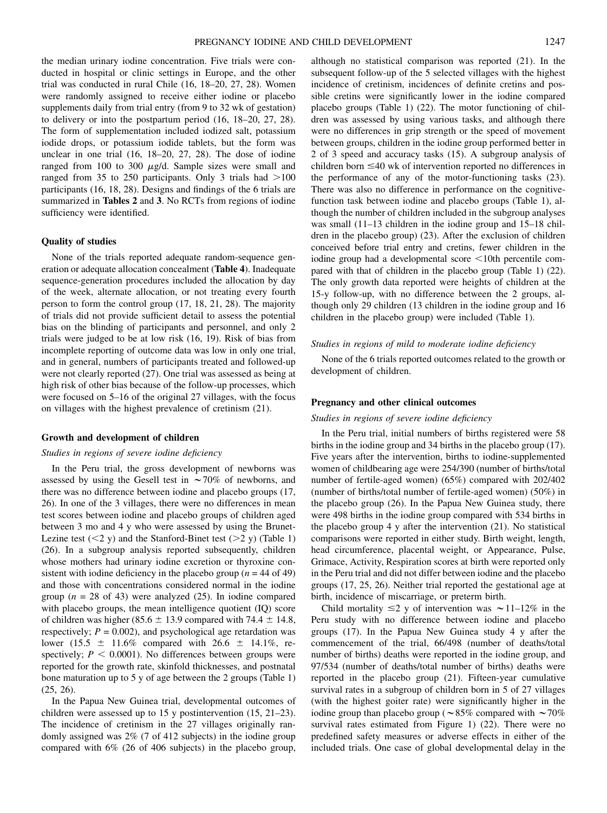the median urinary iodine concentration. Five trials were conducted in hospital or clinic settings in Europe, and the other trial was conducted in rural Chile (16, 18–20, 27, 28). Women were randomly assigned to receive either iodine or placebo supplements daily from trial entry (from 9 to 32 wk of gestation) to delivery or into the postpartum period (16, 18–20, 27, 28). The form of supplementation included iodized salt, potassium iodide drops, or potassium iodide tablets, but the form was unclear in one trial (16, 18–20, 27, 28). The dose of iodine ranged from 100 to 300  $\mu$ g/d. Sample sizes were small and ranged from 35 to 250 participants. Only 3 trials had  $>100$ participants (16, 18, 28). Designs and findings of the 6 trials are summarized in **Tables 2** and 3. No RCTs from regions of iodine sufficiency were identified.

#### Quality of studies

None of the trials reported adequate random-sequence generation or adequate allocation concealment (Table 4). Inadequate sequence-generation procedures included the allocation by day of the week, alternate allocation, or not treating every fourth person to form the control group (17, 18, 21, 28). The majority of trials did not provide sufficient detail to assess the potential bias on the blinding of participants and personnel, and only 2 trials were judged to be at low risk (16, 19). Risk of bias from incomplete reporting of outcome data was low in only one trial, and in general, numbers of participants treated and followed-up were not clearly reported (27). One trial was assessed as being at high risk of other bias because of the follow-up processes, which were focused on 5–16 of the original 27 villages, with the focus on villages with the highest prevalence of cretinism (21).

#### Growth and development of children

#### Studies in regions of severe iodine deficiency

In the Peru trial, the gross development of newborns was assessed by using the Gesell test in  $\sim 70\%$  of newborns, and there was no difference between iodine and placebo groups (17, 26). In one of the 3 villages, there were no differences in mean test scores between iodine and placebo groups of children aged between 3 mo and 4 y who were assessed by using the Brunet-Lezine test  $(< 2 y)$  and the Stanford-Binet test  $(> 2 y)$  (Table 1) (26). In a subgroup analysis reported subsequently, children whose mothers had urinary iodine excretion or thyroxine consistent with iodine deficiency in the placebo group ( $n = 44$  of 49) and those with concentrations considered normal in the iodine group ( $n = 28$  of 43) were analyzed (25). In iodine compared with placebo groups, the mean intelligence quotient (IQ) score of children was higher (85.6  $\pm$  13.9 compared with 74.4  $\pm$  14.8, respectively;  $P = 0.002$ ), and psychological age retardation was lower (15.5  $\pm$  11.6% compared with 26.6  $\pm$  14.1%, respectively;  $P < 0.0001$ ). No differences between groups were reported for the growth rate, skinfold thicknesses, and postnatal bone maturation up to 5 y of age between the 2 groups (Table 1) (25, 26).

In the Papua New Guinea trial, developmental outcomes of children were assessed up to 15 y postintervention (15, 21–23). The incidence of cretinism in the 27 villages originally randomly assigned was 2% (7 of 412 subjects) in the iodine group compared with 6% (26 of 406 subjects) in the placebo group,

although no statistical comparison was reported (21). In the subsequent follow-up of the 5 selected villages with the highest incidence of cretinism, incidences of definite cretins and possible cretins were significantly lower in the iodine compared placebo groups (Table 1) (22). The motor functioning of children was assessed by using various tasks, and although there were no differences in grip strength or the speed of movement between groups, children in the iodine group performed better in 2 of 3 speed and accuracy tasks (15). A subgroup analysis of children born  $\leq 40$  wk of intervention reported no differences in the performance of any of the motor-functioning tasks (23). There was also no difference in performance on the cognitivefunction task between iodine and placebo groups (Table 1), although the number of children included in the subgroup analyses was small (11–13 children in the iodine group and 15–18 children in the placebo group) (23). After the exclusion of children conceived before trial entry and cretins, fewer children in the iodine group had a developmental score  $\leq 10$ th percentile compared with that of children in the placebo group (Table 1) (22). The only growth data reported were heights of children at the 15-y follow-up, with no difference between the 2 groups, although only 29 children (13 children in the iodine group and 16 children in the placebo group) were included (Table 1).

## Studies in regions of mild to moderate iodine deficiency

None of the 6 trials reported outcomes related to the growth or development of children.

#### Pregnancy and other clinical outcomes

#### Studies in regions of severe iodine deficiency

In the Peru trial, initial numbers of births registered were 58 births in the iodine group and 34 births in the placebo group (17). Five years after the intervention, births to iodine-supplemented women of childbearing age were 254/390 (number of births/total number of fertile-aged women) (65%) compared with 202/402 (number of births/total number of fertile-aged women) (50%) in the placebo group (26). In the Papua New Guinea study, there were 498 births in the iodine group compared with 534 births in the placebo group 4 y after the intervention (21). No statistical comparisons were reported in either study. Birth weight, length, head circumference, placental weight, or Appearance, Pulse, Grimace, Activity, Respiration scores at birth were reported only in the Peru trial and did not differ between iodine and the placebo groups (17, 25, 26). Neither trial reported the gestational age at birth, incidence of miscarriage, or preterm birth.

Child mortality  $\leq 2$  y of intervention was  $\sim 11-12\%$  in the Peru study with no difference between iodine and placebo groups (17). In the Papua New Guinea study 4 y after the commencement of the trial, 66/498 (number of deaths/total number of births) deaths were reported in the iodine group, and 97/534 (number of deaths/total number of births) deaths were reported in the placebo group (21). Fifteen-year cumulative survival rates in a subgroup of children born in 5 of 27 villages (with the highest goiter rate) were significantly higher in the iodine group than placebo group ( $\sim 85\%$  compared with  $\sim 70\%$ survival rates estimated from Figure 1) (22). There were no predefined safety measures or adverse effects in either of the included trials. One case of global developmental delay in the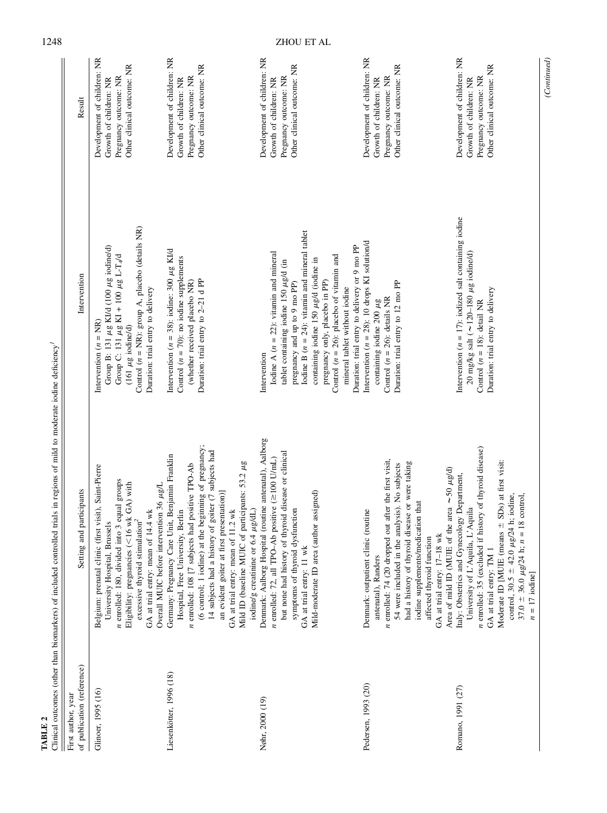| TABLE 2                                          | Clinical outcomes (other than biomarkers) of included controlled trials in regions of mild to moderate iodine deficiency'                                                                                                                                                                                                                                                                                                                                                               |                                                                                                                                                                                                                                                                                                                                                                                                             |                                                                                                              |
|--------------------------------------------------|-----------------------------------------------------------------------------------------------------------------------------------------------------------------------------------------------------------------------------------------------------------------------------------------------------------------------------------------------------------------------------------------------------------------------------------------------------------------------------------------|-------------------------------------------------------------------------------------------------------------------------------------------------------------------------------------------------------------------------------------------------------------------------------------------------------------------------------------------------------------------------------------------------------------|--------------------------------------------------------------------------------------------------------------|
| of publication (reference)<br>First author, year | Setting and participants                                                                                                                                                                                                                                                                                                                                                                                                                                                                | Intervention                                                                                                                                                                                                                                                                                                                                                                                                | Result                                                                                                       |
| Glinoer, 1995 (16)                               | Belgium: prenatal clinic (first visit), Saint-Pierre<br>n enrolled: 180, divided into 3 equal groups<br>Eligibility: pregnancies ( $<$ 16 wk GA) with<br>GA at trial entry: mean of 14.4 wk<br>excessive thyroid stimulation <sup>2</sup><br>University Hospital, Brussels                                                                                                                                                                                                              | Control ( $n = NR$ ): group A, placebo (details NR)<br>Group B: 131 $\mu$ g KI/d (100 $\mu$ g iodine/d)<br>Group C: 131 µg KI + 100 µg L-T4d<br>Duration: trial entry to delivery<br>Intervention $(n = NR)$<br>$(161 \ \mu$ g iodine/d)                                                                                                                                                                    | Development of children: NR<br>Other clinical outcome: NR<br>Pregnancy outcome: NR<br>Growth of children: NR |
| Liesenkötter, 1996 (18)                          | (6 control; 1 iodine) at the beginning of pregnancy;<br>14 subjects had a history of goiter (7 subjects had<br>Germany: Pregnancy Care Unit, Benjamin Franklin<br>Mild ID (baseline MUIC of participants: 53.2 $\mu$ g<br>iodine/g creatinine or 6.4 $\mu$ g/dL)<br>n enrolled: 108 [7 subjects had positive TPO-Ab<br>Overall MUIC before intervention 36 µg/L<br>an evident goiter at first presentation)]<br>GA at trial entry: mean of 11.2 wk<br>Hospital, Free University, Berlin | Intervention ( $n = 38$ ): iodine: 300 $\mu$ g KI/d<br>Control $(n = 70)$ : no iodine supplements<br>Duration: trial entry to 2-21 d PP<br>(whether received placebo NR)                                                                                                                                                                                                                                    | Development of children: NR<br>Other clinical outcome: NR<br>Pregnancy outcome: NR<br>Growth of children: NR |
| Nøhr, 2000 (19)                                  | Denmark: Aalborg Hospital (routine antenatal), Aalborg<br>disease or clinical<br><i>n</i> enrolled: 72, all TPO-Ab positive ( $\geq$ 100 U/mL)<br>Mild-moderate ID area (author assigned)<br>symptoms of thyroid dysfunction<br>but none had history of thyroid<br>GA at trial entry: 11 wk                                                                                                                                                                                             | Iodine B $(n = 24)$ ; vitamin and mineral tablet<br>Duration: trial entry to delivery or 9 mo PP<br>Iodine A $(n = 22)$ : vitamin and mineral<br>Control $(n = 26)$ : placebo of vitamin and<br>containing iodine 150 $\mu$ g/d (iodine in<br>tablet containing iodine 150 $\mu$ g/d (in<br>pregnancy only, placebo in PP)<br>pregnancy and up to 9 mo PP)<br>mineral tablet without iodine<br>Intervention | Development of children: NR<br>Other clinical outcome: NR<br>Pregnancy outcome: NR<br>Growth of children: NR |
| Pedersen, 1993 (20)                              | n enrolled: 74 (20 dropped out after the first visit,<br>had a history of thyroid disease or were taking<br>54 were included in the analysis). No subjects<br>Area of mild ID (MUIE of the area $\sim$ 50 $\mu$ g/d)<br>iodine supplements/medication that<br>Denmark: outpatient clinic (routine<br>GA at trial entry: 17-18 wk<br>affected thyroid function<br>antenatal), Randers                                                                                                    | Intervention ( $n = 28$ ): 10 drops KI solution/d<br>Duration: trial entry to 12 mo PP<br>Control $(n = 26)$ : details NR<br>containing iodine 200 µg                                                                                                                                                                                                                                                       | Development of children: NR<br>Other clinical outcome: NR<br>Pregnancy outcome: NR<br>Growth of children: NR |
| Romano, 1991 (27)                                | n enrolled: 35 (excluded if history of thyroid disease)<br>Moderate ID [MUIE (means $\pm$ SDs) at first visit:<br>Italy: Obstetrics and Gynecology Department,<br>$37.0 \pm 36.0 \ \mu g/24 \ \text{h}; n = 18 \ \text{control},$<br>iodine<br>University of L'Aquila, L'Aquila<br>control, 30.5 $\pm$ 42.0 $\mu$ g/24 h;<br>GA at trial entry: TM 1<br>$n = 17$ iodine]                                                                                                                | Intervention $(n = 17)$ : iodized salt containing iodine<br>20 mg/kg salt ( $\sim$ 120-180 µg iodine/d)<br>Duration: trial entry to delivery<br>Control $(n = 18)$ : detail NR                                                                                                                                                                                                                              | Development of children: NR<br>Other clinical outcome: NR<br>Pregnancy outcome: NR<br>Growth of children: NR |

(Continued)

 $(Continued) % \begin{minipage}[b]{0.5\linewidth} \centering \centerline{\includegraphics[width=0.5\linewidth]{images/STM100020.jpg} \centerline{\includegraphics[width=0.5\linewidth]{images/STM100020.jpg} \centerline{\includegraphics[width=0.5\linewidth]{images/STM100020.jpg} \centerline{\includegraphics[width=0.5\linewidth]{images/STM100020.jpg} \centerline{\includegraphics[width=0.5\linewidth]{images/STM100020.jpg} \centerline{\includegraphics[width=0.5\linewidth]{images/STM100020.jpg} \centerline{\includegraphics[width=0.5\linewidth]{images/STM100020.jpg} \centerline{\includegraphics[width$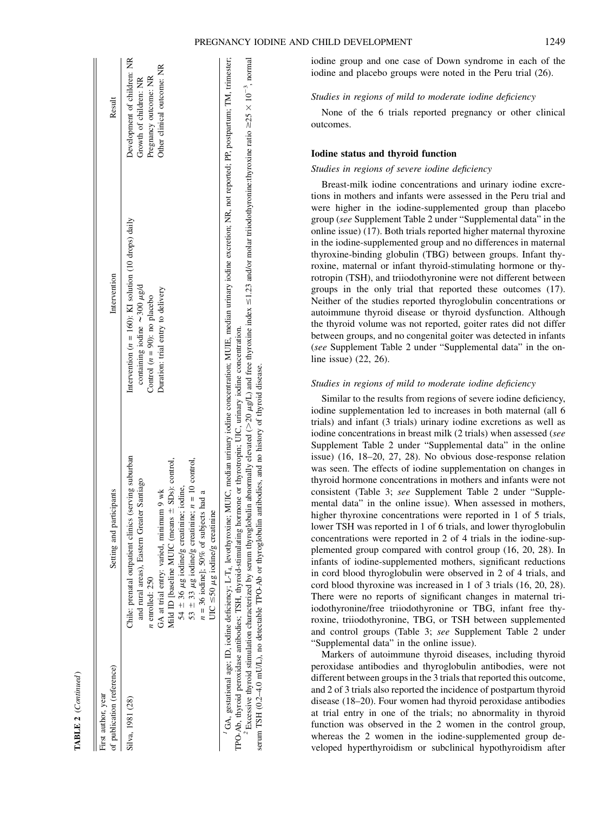| t |
|---|
|   |
| ۰ |

| of publication (reference)<br>First author, year | Setting and participants                                                                                                                                                                                                                                                                                                                                                                                                       | Intervention                                                                                                                                                               | Result                                                                                                       |
|--------------------------------------------------|--------------------------------------------------------------------------------------------------------------------------------------------------------------------------------------------------------------------------------------------------------------------------------------------------------------------------------------------------------------------------------------------------------------------------------|----------------------------------------------------------------------------------------------------------------------------------------------------------------------------|--------------------------------------------------------------------------------------------------------------|
| Silva, 1981 (28)                                 | Chile: prenatal outpatient clinics (serving suburban<br>Mild ID [baseline MUIC (means $\pm$ SDs): control,<br>53 ± 33 $\mu$ g iodine/g creatinine; $n = 10$ control,<br>and rural areas), Eastern Greater Santiago<br>54 $\pm$ 36 $\mu$ g iodine/g creatinine; iodine,<br>GA at trial entry: varied, minimum 9 wk<br>$n = 36$ iodine]; 50% of subjects had a<br>UIC $\leq$ 50 $\mu$ g iodine/g creatinine<br>$n$ enrolled: 250 | Intervention ( $n = 160$ ): KI solution (10 drops) daily<br>containing iodine $\sim$ 300 $\mu$ g/d<br>Duration: trial entry to delivery<br>Control $(n = 90)$ : no placebo | Development of children: NR<br>Other clinical outcome: NR<br>Pregnancy outcome: NR<br>Growth of children: NR |
|                                                  |                                                                                                                                                                                                                                                                                                                                                                                                                                | <sup>1</sup> GA gestational age: ID jodine deficiency: I., Jevothyroxine: MIIC median urinary iodine including available provided: Party PM mimester:                      |                                                                                                              |

 GA, gestational age; ID, iodine deficiency; L-T4, levothyroxine; MUIC, median urinary iodine concentration; MUIE, median urinary iodine excretion; NR, not reported; PP, postpartum; TM, trimester;  $\times 10^{-3}$ , normal  $\times$ \$25  $\le$ 1.23 and/or molar triiodothyronine:thyroxine ratio  $\mu$ g/L) and free thyroxine index IPO-Ab, thyroid peroxidase antibodies; TSH, thyroid-stimulating hormone or thyrotropin; UIC, urinary iodine concentration. TPO-Ab, thyroid peroxidase antibodies; TSH, thyroid-stimulating hormone or thyrotropin; UIC, urinary iodine concentration.<br><sup>2</sup> Excessive thyroid stimulation characterized by serum thyroglobulin abnormally elevated (>20 µg serum TSH  $(0.2-4.0 \text{ mU/L})$ , no detectable TPO-Ab or thyroglobulin antibodies, and no history of thyroid disease. serum TSH (0.2–4.0 mU/L), no detectable TPO-Ab or thyroglobulin antibodies, and no history of thyroid disease.  $\approx 20$ 

iodine group and one case of Down syndrome in each of the iodine and placebo groups were noted in the Peru trial (26).

# Studies in regions of mild to moderate iodine deficiency

None of the 6 trials reported pregnancy or other clinical outcomes.

# Iodine status and thyroid function

# Studies in regions of severe iodine deficiency

Breast-milk iodine concentrations and urinary iodine excretions in mothers and infants were assessed in the Peru trial and were higher in the iodine-supplemented group than placebo group (see Supplement Table 2 under "Supplemental data" in the online issue) (17). Both trials reported higher maternal thyroxine in the iodine-supplemented group and no differences in maternal thyroxine-binding globulin (TBG) between groups. Infant thyroxine, maternal or infant thyroid-stimulating hormone or thyrotropin (TSH), and triiodothyronine were not different between groups in the only trial that reported these outcomes (17). Neither of the studies reported thyroglobulin concentrations or autoimmune thyroid disease or thyroid dysfunction. Although the thyroid volume was not reported, goiter rates did not differ between groups, and no congenital goiter was detected in infants (see Supplement Table 2 under "Supplemental data" in the online issue) (22, 26).

# Studies in regions of mild to moderate iodine deficiency

Similar to the results from regions of severe iodine deficiency, iodine supplementation led to increases in both maternal (all 6 trials) and infant (3 trials) urinary iodine excretions as well as iodine concentrations in breast milk (2 trials) when assessed (see Supplement Table 2 under "Supplemental data" in the online issue) (16, 18–20, 27, 28). No obvious dose-response relation was seen. The effects of iodine supplementation on changes in thyroid hormone concentrations in mothers and infants were not consistent (Table 3; see Supplement Table 2 under "Supplemental data" in the online issue). When assessed in mothers, higher thyroxine concentrations were reported in 1 of 5 trials, lower TSH was reported in 1 of 6 trials, and lower thyroglobulin concentrations were reported in 2 of 4 trials in the iodine-supplemented group compared with control group (16, 20, 28). In infants of iodine-supplemented mothers, significant reductions in cord blood thyroglobulin were observed in 2 of 4 trials, and cord blood thyroxine was increased in 1 of 3 trials (16, 20, 28). There were no reports of significant changes in maternal triiodothyronine/free triiodothyronine or TBG, infant free thyroxine, triiodothyronine, TBG, or TSH between supplemented and control groups (Table 3; see Supplement Table 2 under "Supplemental data" in the online issue).

Markers of autoimmune thyroid diseases, including thyroid peroxidase antibodies and thyroglobulin antibodies, were not different between groups in the 3 trials that reported this outcome, and 2 of 3 trials also reported the incidence of postpartum thyroid disease (18–20). Four women had thyroid peroxidase antibodies at trial entry in one of the trials; no abnormality in thyroid function was observed in the 2 women in the control group, whereas the 2 women in the iodine-supplemented group developed hyperthyroidism or subclinical hypothyroidism after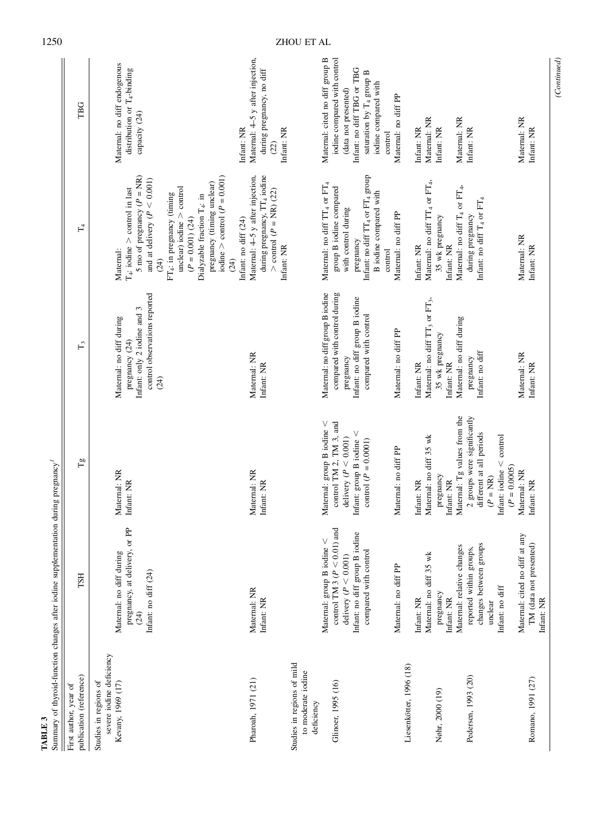| TABLE 3                                                                | Summary of thyroid-function changes after iodine supplementation                                                                                          | during pregnancy <sup>1</sup>                                                                                                                           |                                                                                                                                          |                                                                                                                                                                                                                                                                                                                                                          |                                                                                                                                                                                         |
|------------------------------------------------------------------------|-----------------------------------------------------------------------------------------------------------------------------------------------------------|---------------------------------------------------------------------------------------------------------------------------------------------------------|------------------------------------------------------------------------------------------------------------------------------------------|----------------------------------------------------------------------------------------------------------------------------------------------------------------------------------------------------------------------------------------------------------------------------------------------------------------------------------------------------------|-----------------------------------------------------------------------------------------------------------------------------------------------------------------------------------------|
| publication (reference)<br>First author, year of                       | <b>TSH</b>                                                                                                                                                | $\mathbb{E}^{\omega}$                                                                                                                                   | $\mathsf{F}_3$                                                                                                                           | $\Gamma_4$                                                                                                                                                                                                                                                                                                                                               | TBG                                                                                                                                                                                     |
| severe iodine deficiency<br>Kevany, 1969 (17)<br>Studies in regions of | pregnancy, at delivery, or PP<br>Maternal: no diff during<br>Infant: no diff (24)<br>(24)                                                                 | Maternal: NR<br>Infant: NR                                                                                                                              | control observations reported<br>Infant: only 2 iodine and 3<br>Maternal: no diff during<br>pregnancy (24)<br>(24)                       | iodine > control ( $P = 0.001$ )<br>5 mo of pregnancy $(P = NR)$<br>and at delivery $(P < 0.001)$<br>pregnancy (timing unclear)<br>$unclear$ ) iodine $>$ control<br>$T_4$ : iodine > control in last<br>FT <sub>4</sub> : in pregnancy (timing<br>Dialyzable fraction T4: in<br>$(P = 0.001)$ (24)<br>Infant: no diff (24)<br>Maternal:<br>(24)<br>(24) | Maternal: no diff endogenous<br>distribution or T <sub>4</sub> -binding<br>capacity (24)<br>Infant: NR                                                                                  |
| Pharoah, 1971 (21)                                                     | Maternal: NR<br>Infant: NR                                                                                                                                | Maternal: NR<br>Infant: NR                                                                                                                              | Maternal: NR<br>Infant: NR                                                                                                               | during pregnancy, TT <sub>4</sub> iodine<br>Maternal: 4-5 y after injection,<br>$>$ control ( $P = NR$ ) (22)<br>Infant: NR                                                                                                                                                                                                                              | Maternal: 4-5 y after injection,<br>during pregnancy, no diff<br>Infant: NR<br>(22)                                                                                                     |
| Studies in regions of mild<br>to moderate iodine<br>deficiency         |                                                                                                                                                           |                                                                                                                                                         |                                                                                                                                          |                                                                                                                                                                                                                                                                                                                                                          |                                                                                                                                                                                         |
| Glinoer, 1995 (16)                                                     | control TM 3 ( $P < 0.01$ ) and<br>Infant: no diff group B iodine<br>Maternal: group B iodine $\leq$<br>compared with control<br>delivery ( $P < 0.001$ ) | Maternal: group B iodine $\leq$<br>control TM 2, TM 3, and<br>Infant: group B iodine $\leq$<br>delivery ( $P < 0.001$ )<br>control $(P = 0.0001)$       | Maternal: no diff group B iodine<br>compared with control during<br>Infant: no diff group B iodine<br>compared with control<br>pregnancy | Infant: no diff TT <sub>4</sub> or FT <sub>4</sub> group<br>Maternal: no diff TT <sub>4</sub> or FT <sub>4</sub><br>group B iodine compared<br>B iodine compared with<br>with control during<br>pregnancy<br>$\mbox{control}$                                                                                                                            | Maternal: cited no diff group B<br>iodine compared with control<br>Infant: no diff TBG or TBG<br>saturation by $T_4$ group B<br>iodine compared with<br>(data not presented)<br>control |
| Liesenkötter, 1996 (18)                                                | Maternal: no diff PP                                                                                                                                      | Maternal: no diff PP                                                                                                                                    | Maternal: no diff PP                                                                                                                     | Maternal: no diff PP                                                                                                                                                                                                                                                                                                                                     | Maternal: no diff PP                                                                                                                                                                    |
|                                                                        | Maternal: no diff 35 wk<br>Infant: NR                                                                                                                     | Maternal: no diff 35 wk<br>Infant: NR                                                                                                                   | Maternal: no diff TT <sub>3</sub> or FT <sub>3</sub> ,<br>Infant: NR                                                                     | Maternal: no diff TT <sub>4</sub> or FT <sub>4</sub> ,<br>Infant: NR                                                                                                                                                                                                                                                                                     | Maternal: NR<br>Infant: NR                                                                                                                                                              |
| Nøhr, 2000 (19)                                                        | pregnancy<br>Infant: NR                                                                                                                                   | pregnancy<br>Infant: NR                                                                                                                                 | 35 wk pregnancy<br>Infant: NR                                                                                                            | 35 wk pregnancy<br>Infant: NR                                                                                                                                                                                                                                                                                                                            | Infant: NR                                                                                                                                                                              |
| Pedersen, 1993 (20)                                                    | changes between groups<br>Maternal: relative changes<br>reported within groups,<br>Infant: no diff<br>unclear                                             | Maternal: Tg values from the<br>2 groups were significantly<br>different at all periods<br>Infant: iodine $\lt$ control<br>$(P = 0.0005)$<br>$(P = NR)$ | Maternal: no diff during<br>Infant: no diff<br>pregnancy                                                                                 | Maternal: no diff $T_4$ or $FT_4$ ,<br>Infant: no diff $\rm T_4$ or $\rm FT_4$<br>during pregnancy                                                                                                                                                                                                                                                       | Maternal: NR<br>Infant: NR                                                                                                                                                              |
| Romano, 1991 (27)                                                      | Maternal: cited no diff at any<br>TM (data not presented)<br>Infant: NR                                                                                   | Maternal: NR<br>Infant: NR                                                                                                                              | Maternal: NR<br>Infant: NR                                                                                                               | Maternal: NR<br>Infant: NR                                                                                                                                                                                                                                                                                                                               | Maternal: NR<br>Infant: NR                                                                                                                                                              |

# 1250 ZHOU ET AL

(Continued)

 $(Continued) % \begin{minipage}[b]{0.5\linewidth} \centering \centerline{\includegraphics[width=0.5\linewidth]{images/STM1000.pdf} \centerline{\includegraphics[width=0.5\linewidth]{images/STM1000.pdf} \centerline{\includegraphics[width=0.5\linewidth]{images/STM1000.pdf} \centerline{\includegraphics[width=0.5\linewidth]{images/STM1000.pdf} \centerline{\includegraphics[width=0.5\linewidth]{images/STM1000.pdf} \centerline{\includegraphics[width=0.5\linewidth]{images/STM1000.pdf} \centerline{\includegraphics[width=0.5\linewidth]{images/STM1000.pdf} \centerline{\includegraphics[width=0.5\linewidth]{images/STM100$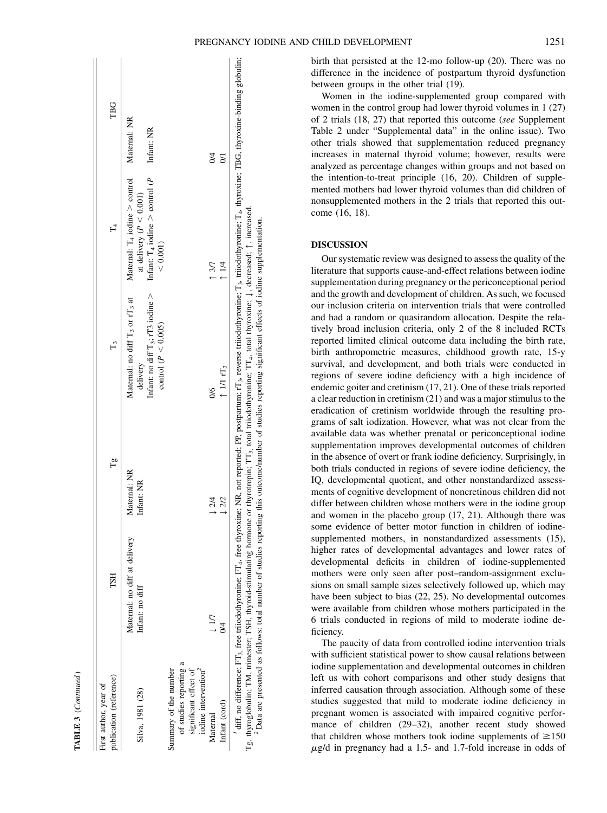| publication (reference)<br>First author, year of                                                             | TSH                                              | $\mathbb{F}_q^2$                     | $F_3$                                                                                                                                                                                                                                                                                                                                                                                                                                                                                                                                                                                                                                 | $\Gamma_4$                                                                                                                                  | TBG           |
|--------------------------------------------------------------------------------------------------------------|--------------------------------------------------|--------------------------------------|---------------------------------------------------------------------------------------------------------------------------------------------------------------------------------------------------------------------------------------------------------------------------------------------------------------------------------------------------------------------------------------------------------------------------------------------------------------------------------------------------------------------------------------------------------------------------------------------------------------------------------------|---------------------------------------------------------------------------------------------------------------------------------------------|---------------|
| Silva, 1981 (28)                                                                                             | Maternal: no diff at delivery<br>Infant: no diff | Maternal: NR<br>Infant: NR           | Infant: no diff $T_3$ ; rT3 iodine ><br>Maternal: no diff T <sub>3</sub> or rT <sub>3</sub> at<br>control ( $P < 0.005$ )<br>delivery                                                                                                                                                                                                                                                                                                                                                                                                                                                                                                 | Maternal: $T_4$ iodine $>$ control Maternal: NR<br>Infant: $T_4$ iodine > control (P Infant: NR<br>at delivery $(P < 0.001)$<br>${}< 0.001$ |               |
| of studies reporting a<br>Summary of the number<br>significant effect of<br>iodine intervention <sup>2</sup> |                                                  |                                      |                                                                                                                                                                                                                                                                                                                                                                                                                                                                                                                                                                                                                                       |                                                                                                                                             |               |
| Infant (cord)<br>Maternal                                                                                    | $\perp$ 1/7<br>$\frac{4}{3}$                     | $\downarrow$ 2/2<br>$\downarrow$ 2/4 | $\uparrow$ 1/1 rT <sub>3</sub><br>$\frac{8}{2}$                                                                                                                                                                                                                                                                                                                                                                                                                                                                                                                                                                                       | 13/7<br>$\uparrow$ 1/4                                                                                                                      | $\frac{1}{2}$ |
|                                                                                                              |                                                  |                                      | diff, no difference; FT <sub>3</sub> , free triodothyronine; FT <sub>4</sub> , free thyroxine; NR, not reported; PP, postpartum; T <sub>3</sub> , reverse triiodothyronine; T <sub>4</sub> , triodothyronine; T4, thyroxine; TBG, thyroxine-binding globulin;<br>Tg, thyroglobulin; TM, trimester; TSH, thyroid-stimulating hormone or thyrotropin; TT <sub>3</sub> , total triiodothyronine; TT <sub>4</sub> , total thyroxine; 1, decreased; 1, increased.<br><sup>2</sup> Data are presented as follows: total number of studies reporting this outcome/number of studies reporting significant effects of iodine supplementation. |                                                                                                                                             |               |

(Continued)

[ABLE 3 (Continued)

birth that persisted at the 12-mo follow-up (20). There was no difference in the incidence of postpartum thyroid dysfunction between groups in the other trial (19).

Women in the iodine-supplemented group compared with women in the control group had lower thyroid volumes in 1 (27) of 2 trials (18, 27) that reported this outcome (see Supplement Table 2 under "Supplemental data" in the online issue). Two other trials showed that supplementation reduced pregnancy increases in maternal thyroid volume; however, results were analyzed as percentage changes within groups and not based on the intention-to-treat principle (16, 20). Children of supplemented mothers had lower thyroid volumes than did children of nonsupplemented mothers in the 2 trials that reported this outcome (16, 18).

## DISCUSSION

Our systematic review was designed to assess the quality of the literature that supports cause-and-effect relations between iodine supplementation during pregnancy or the periconceptional period and the growth and development of children. As such, we focused our inclusion criteria on intervention trials that were controlled and had a random or quasirandom allocation. Despite the relatively broad inclusion criteria, only 2 of the 8 included RCTs reported limited clinical outcome data including the birth rate, birth anthropometric measures, childhood growth rate, 15-y survival, and development, and both trials were conducted in regions of severe iodine deficiency with a high incidence of endemic goiter and cretinism (17, 21). One of these trials reported a clear reduction in cretinism (21) and was a major stimulus to the eradication of cretinism worldwide through the resulting programs of salt iodization. However, what was not clear from the available data was whether prenatal or periconceptional iodine supplementation improves developmental outcomes of children in the absence of overt or frank iodine deficiency. Surprisingly, in both trials conducted in regions of severe iodine deficiency, the IQ, developmental quotient, and other nonstandardized assessments of cognitive development of noncretinous children did not differ between children whose mothers were in the iodine group and women in the placebo group (17, 21). Although there was some evidence of better motor function in children of iodinesupplemented mothers, in nonstandardized assessments (15), higher rates of developmental advantages and lower rates of developmental deficits in children of iodine-supplemented mothers were only seen after post–random-assignment exclusions on small sample sizes selectively followed up, which may have been subject to bias (22, 25). No developmental outcomes were available from children whose mothers participated in the 6 trials conducted in regions of mild to moderate iodine deficiency.

The paucity of data from controlled iodine intervention trials with sufficient statistical power to show causal relations between iodine supplementation and developmental outcomes in children left us with cohort comparisons and other study designs that inferred causation through association. Although some of these studies suggested that mild to moderate iodine deficiency in pregnant women is associated with impaired cognitive performance of children (29–32), another recent study showed that children whose mothers took iodine supplements of  $\geq 150$  $\mu$ g/d in pregnancy had a 1.5- and 1.7-fold increase in odds of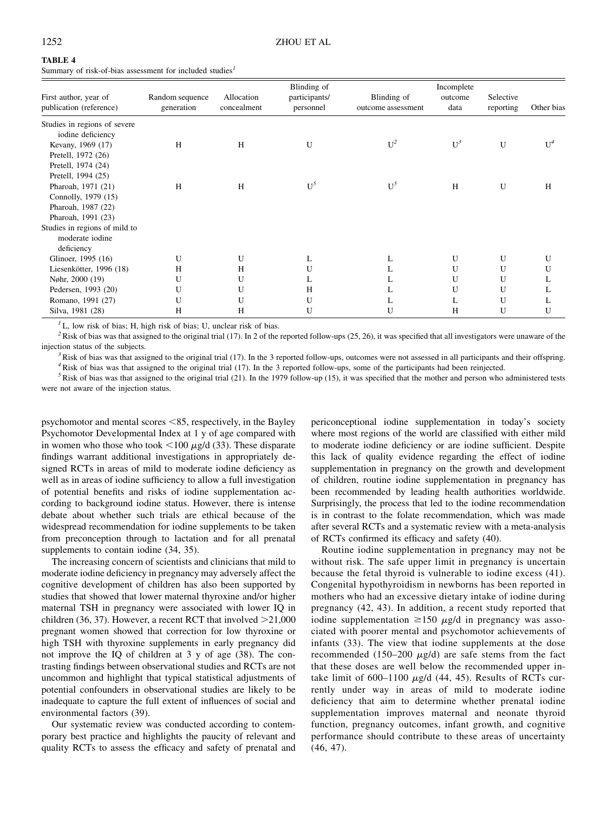Summary of risk-of-bias assessment for included studies<sup>1</sup>

| First author, year of<br>publication (reference) | Random sequence<br>generation | Allocation<br>concealment | Blinding of<br>participants/<br>personnel | Blinding of<br>outcome assessment | Incomplete<br>outcome<br>data | Selective<br>reporting | Other bias |
|--------------------------------------------------|-------------------------------|---------------------------|-------------------------------------------|-----------------------------------|-------------------------------|------------------------|------------|
| Studies in regions of severe                     |                               |                           |                                           |                                   |                               |                        |            |
| iodine deficiency                                |                               |                           |                                           |                                   | $U^3$                         |                        |            |
| Kevany, 1969 (17)                                | H                             | H                         | U                                         | $U^2$                             |                               | U                      | $U^4$      |
| Pretell, 1972 (26)                               |                               |                           |                                           |                                   |                               |                        |            |
| Pretell, 1974 (24)                               |                               |                           |                                           |                                   |                               |                        |            |
| Pretell, 1994 (25)                               |                               |                           |                                           |                                   |                               |                        |            |
| Pharoah, 1971 (21)                               | H                             | H                         | $U^5$                                     | $U^5$                             | H                             | U                      | H          |
| Connolly, 1979 (15)                              |                               |                           |                                           |                                   |                               |                        |            |
| Pharoah, 1987 (22)                               |                               |                           |                                           |                                   |                               |                        |            |
| Pharoah, 1991 (23)                               |                               |                           |                                           |                                   |                               |                        |            |
| Studies in regions of mild to                    |                               |                           |                                           |                                   |                               |                        |            |
| moderate iodine                                  |                               |                           |                                           |                                   |                               |                        |            |
| deficiency                                       |                               |                           |                                           |                                   |                               |                        |            |
| Glinoer, 1995 (16)                               | U                             | U                         | L                                         |                                   | $\mathbf{U}$                  | $\mathbf{U}$           | U          |
| Liesenkötter, 1996 (18)                          | H                             | H                         | U                                         |                                   | U                             | U                      | U          |
| Nøhr, 2000 (19)                                  | U                             | U                         | L                                         |                                   | U                             | U                      |            |
| Pedersen, 1993 (20)                              | U                             | U                         | H                                         |                                   | U                             | U                      | L          |
| Romano, 1991 (27)                                | U                             | U                         | U                                         |                                   | L                             | U                      | L          |
| Silva, 1981 (28)                                 | Н                             | H                         | U                                         | U                                 | H                             | U                      | U          |

 ${}^{1}$ L, low risk of bias; H, high risk of bias; U, unclear risk of bias.

<sup>2</sup>Risk of bias was that assigned to the original trial (17). In 2 of the reported follow-ups (25, 26), it was specified that all investigators were unaware of the

injection status of the subjects.<br><sup>3</sup> Risk of bias was that assigned to the original trial (17). In the 3 reported follow-ups, outcomes were not assessed in all participants and their offspring.<br><sup>4</sup> Risk of bias was that a

 $<sup>5</sup>$  Risk of bias was that assigned to the original trial (21). In the 1979 follow-up (15), it was specified that the mother and person who administered tests</sup> were not aware of the injection status.

psychomotor and mental scores  $< 85$ , respectively, in the Bayley Psychomotor Developmental Index at 1 y of age compared with in women who those who took  $\lt 100 \mu\text{g/d}$  (33). These disparate findings warrant additional investigations in appropriately designed RCTs in areas of mild to moderate iodine deficiency as well as in areas of iodine sufficiency to allow a full investigation of potential benefits and risks of iodine supplementation according to background iodine status. However, there is intense debate about whether such trials are ethical because of the widespread recommendation for iodine supplements to be taken from preconception through to lactation and for all prenatal supplements to contain iodine (34, 35).

The increasing concern of scientists and clinicians that mild to moderate iodine deficiency in pregnancy may adversely affect the cognitive development of children has also been supported by studies that showed that lower maternal thyroxine and/or higher maternal TSH in pregnancy were associated with lower IQ in children (36, 37). However, a recent RCT that involved  $>21,000$ pregnant women showed that correction for low thyroxine or high TSH with thyroxine supplements in early pregnancy did not improve the IQ of children at 3 y of age (38). The contrasting findings between observational studies and RCTs are not uncommon and highlight that typical statistical adjustments of potential confounders in observational studies are likely to be inadequate to capture the full extent of influences of social and environmental factors (39).

Our systematic review was conducted according to contemporary best practice and highlights the paucity of relevant and quality RCTs to assess the efficacy and safety of prenatal and periconceptional iodine supplementation in today's society where most regions of the world are classified with either mild to moderate iodine deficiency or are iodine sufficient. Despite this lack of quality evidence regarding the effect of iodine supplementation in pregnancy on the growth and development of children, routine iodine supplementation in pregnancy has been recommended by leading health authorities worldwide. Surprisingly, the process that led to the iodine recommendation is in contrast to the folate recommendation, which was made after several RCTs and a systematic review with a meta-analysis of RCTs confirmed its efficacy and safety (40).

Routine iodine supplementation in pregnancy may not be without risk. The safe upper limit in pregnancy is uncertain because the fetal thyroid is vulnerable to iodine excess (41). Congenital hypothyroidism in newborns has been reported in mothers who had an excessive dietary intake of iodine during pregnancy (42, 43). In addition, a recent study reported that iodine supplementation  $\geq 150 \mu g/d$  in pregnancy was associated with poorer mental and psychomotor achievements of infants (33). The view that iodine supplements at the dose recommended (150–200  $\mu$ g/d) are safe stems from the fact that these doses are well below the recommended upper intake limit of  $600-1100 \mu g/d$  (44, 45). Results of RCTs currently under way in areas of mild to moderate iodine deficiency that aim to determine whether prenatal iodine supplementation improves maternal and neonate thyroid function, pregnancy outcomes, infant growth, and cognitive performance should contribute to these areas of uncertainty (46, 47).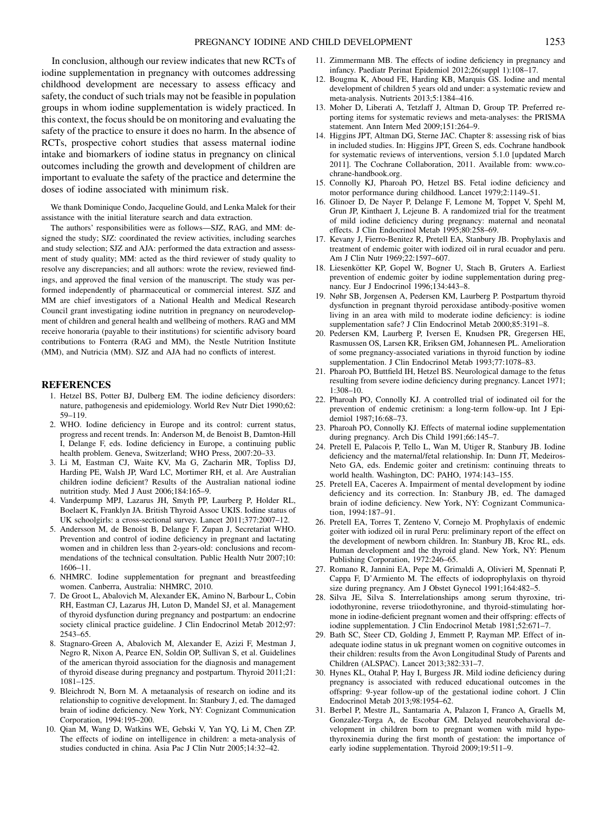In conclusion, although our review indicates that new RCTs of iodine supplementation in pregnancy with outcomes addressing childhood development are necessary to assess efficacy and safety, the conduct of such trials may not be feasible in population groups in whom iodine supplementation is widely practiced. In this context, the focus should be on monitoring and evaluating the safety of the practice to ensure it does no harm. In the absence of RCTs, prospective cohort studies that assess maternal iodine intake and biomarkers of iodine status in pregnancy on clinical outcomes including the growth and development of children are important to evaluate the safety of the practice and determine the doses of iodine associated with minimum risk.

We thank Dominique Condo, Jacqueline Gould, and Lenka Malek for their assistance with the initial literature search and data extraction.

The authors' responsibilities were as follows—SJZ, RAG, and MM: designed the study; SJZ: coordinated the review activities, including searches and study selection; SJZ and AJA: performed the data extraction and assessment of study quality; MM: acted as the third reviewer of study quality to resolve any discrepancies; and all authors: wrote the review, reviewed findings, and approved the final version of the manuscript. The study was performed independently of pharmaceutical or commercial interest. SJZ and MM are chief investigators of a National Health and Medical Research Council grant investigating iodine nutrition in pregnancy on neurodevelopment of children and general health and wellbeing of mothers. RAG and MM receive honoraria (payable to their institutions) for scientific advisory board contributions to Fonterra (RAG and MM), the Nestle Nutrition Institute (MM), and Nutricia (MM). SJZ and AJA had no conflicts of interest.

#### REFERENCES

- 1. Hetzel BS, Potter BJ, Dulberg EM. The iodine deficiency disorders: nature, pathogenesis and epidemiology. World Rev Nutr Diet 1990;62: 59–119.
- 2. WHO. Iodine deficiency in Europe and its control: current status, progress and recent trends. In: Anderson M, de Benoist B, Damton-Hill I, Delange F, eds. Iodine deficiency in Europe, a continuing public health problem. Geneva, Switzerland; WHO Press, 2007:20–33.
- 3. Li M, Eastman CJ, Waite KV, Ma G, Zacharin MR, Topliss DJ, Harding PE, Walsh JP, Ward LC, Mortimer RH, et al. Are Australian children iodine deficient? Results of the Australian national iodine nutrition study. Med J Aust 2006;184:165–9.
- 4. Vanderpump MPJ, Lazarus JH, Smyth PP, Laurberg P, Holder RL, Boelaert K, Franklyn JA. British Thyroid Assoc UKIS. Iodine status of UK schoolgirls: a cross-sectional survey. Lancet 2011;377:2007–12.
- 5. Andersson M, de Benoist B, Delange F, Zupan J, Secretariat WHO. Prevention and control of iodine deficiency in pregnant and lactating women and in children less than 2-years-old: conclusions and recommendations of the technical consultation. Public Health Nutr 2007;10: 1606–11.
- 6. NHMRC. Iodine supplementation for pregnant and breastfeeding women. Canberra, Australia: NHMRC, 2010.
- 7. De Groot L, Abalovich M, Alexander EK, Amino N, Barbour L, Cobin RH, Eastman CJ, Lazarus JH, Luton D, Mandel SJ, et al. Management of thyroid dysfunction during pregnancy and postpartum: an endocrine society clinical practice guideline. J Clin Endocrinol Metab 2012;97: 2543–65.
- 8. Stagnaro-Green A, Abalovich M, Alexander E, Azizi F, Mestman J, Negro R, Nixon A, Pearce EN, Soldin OP, Sullivan S, et al. Guidelines of the american thyroid association for the diagnosis and management of thyroid disease during pregnancy and postpartum. Thyroid 2011;21: 1081–125.
- 9. Bleichrodt N, Born M. A metaanalysis of research on iodine and its relationship to cognitive development. In: Stanbury J, ed. The damaged brain of iodine deficiency. New York, NY: Cognizant Communication Corporation, 1994:195–200.
- 10. Qian M, Wang D, Watkins WE, Gebski V, Yan YQ, Li M, Chen ZP. The effects of iodine on intelligence in children: a meta-analysis of studies conducted in china. Asia Pac J Clin Nutr 2005;14:32–42.
- 11. Zimmermann MB. The effects of iodine deficiency in pregnancy and infancy. Paediatr Perinat Epidemiol 2012;26(suppl 1):108–17.
- 12. Bougma K, Aboud FE, Harding KB, Marquis GS. Iodine and mental development of children 5 years old and under: a systematic review and meta-analysis. Nutrients 2013;5:1384–416.
- 13. Moher D, Liberati A, Tetzlaff J, Altman D, Group TP. Preferred reporting items for systematic reviews and meta-analyses: the PRISMA statement. Ann Intern Med 2009;151:264–9.
- 14. Higgins JPT, Altman DG, Sterne JAC. Chapter 8: assessing risk of bias in included studies. In: Higgins JPT, Green S, eds. Cochrane handbook for systematic reviews of interventions, version 5.1.0 [updated March 2011]. The Cochrane Collaboration, 2011. Available from: www.cochrane-handbook.org.
- 15. Connolly KJ, Pharoah PO, Hetzel BS. Fetal iodine deficiency and motor performance during childhood. Lancet 1979;2:1149–51.
- 16. Glinoer D, De Nayer P, Delange F, Lemone M, Toppet V, Spehl M, Grun JP, Kinthaert J, Lejeune B. A randomized trial for the treatment of mild iodine deficiency during pregnancy: maternal and neonatal effects. J Clin Endocrinol Metab 1995;80:258–69.
- 17. Kevany J, Fierro-Benitez R, Pretell EA, Stanbury JB. Prophylaxis and treatment of endemic goiter with iodized oil in rural ecuador and peru. Am J Clin Nutr 1969;22:1597–607.
- 18. Liesenkötter KP, Gopel W, Bogner U, Stach B, Gruters A. Earliest prevention of endemic goiter by iodine supplementation during pregnancy. Eur J Endocrinol 1996;134:443–8.
- 19. Nøhr SB, Jorgensen A, Pedersen KM, Laurberg P. Postpartum thyroid dysfunction in pregnant thyroid peroxidase antibody-positive women living in an area with mild to moderate iodine deficiency: is iodine supplementation safe? J Clin Endocrinol Metab 2000;85:3191–8.
- 20. Pedersen KM, Laurberg P, Iversen E, Knudsen PR, Gregersen HE, Rasmussen OS, Larsen KR, Eriksen GM, Johannesen PL. Amelioration of some pregnancy-associated variations in thyroid function by iodine supplementation. J Clin Endocrinol Metab 1993;77:1078–83.
- 21. Pharoah PO, Buttfield IH, Hetzel BS. Neurological damage to the fetus resulting from severe iodine deficiency during pregnancy. Lancet 1971; 1:308–10.
- 22. Pharoah PO, Connolly KJ. A controlled trial of iodinated oil for the prevention of endemic cretinism: a long-term follow-up. Int J Epidemiol 1987;16:68–73.
- 23. Pharoah PO, Connolly KJ. Effects of maternal iodine supplementation during pregnancy. Arch Dis Child 1991;66:145–7.
- 24. Pretell E, Palacois P, Tello L, Wan M, Utiger R, Stanbury JB. Iodine deficiency and the maternal/fetal relationship. In: Dunn JT, Medeiros-Neto GA, eds. Endemic goiter and cretinism: continuing threats to world health. Washington, DC: PAHO, 1974:143–155.
- 25. Pretell EA, Caceres A. Impairment of mental development by iodine deficiency and its correction. In: Stanbury JB, ed. The damaged brain of iodine deficiency. New York, NY: Cognizant Communication, 1994:187–91.
- 26. Pretell EA, Torres T, Zenteno V, Cornejo M. Prophylaxis of endemic goiter with iodized oil in rural Peru: preliminary report of the effect on the development of newborn children. In: Stanbury JB, Kroc RL, eds. Human development and the thyroid gland. New York, NY: Plenum Publishing Corporation, 1972:246–65.
- 27. Romano R, Jannini EA, Pepe M, Grimaldi A, Olivieri M, Spennati P, Cappa F, D'Armiento M. The effects of iodoprophylaxis on thyroid size during pregnancy. Am J Obstet Gynecol 1991;164:482–5.
- 28. Silva JE, Silva S. Interrelationships among serum thyroxine, triiodothyronine, reverse triiodothyronine, and thyroid-stimulating hormone in iodine-deficient pregnant women and their offspring: effects of iodine supplementation. J Clin Endocrinol Metab 1981;52:671–7.
- 29. Bath SC, Steer CD, Golding J, Emmett P, Rayman MP. Effect of inadequate iodine status in uk pregnant women on cognitive outcomes in their children: results from the Avon Longitudinal Study of Parents and Children (ALSPAC). Lancet 2013;382:331–7.
- 30. Hynes KL, Otahal P, Hay I, Burgess JR. Mild iodine deficiency during pregnancy is associated with reduced educational outcomes in the offspring: 9-year follow-up of the gestational iodine cohort. J Clin Endocrinol Metab 2013;98:1954–62.
- 31. Berbel P, Mestre JL, Santamaria A, Palazon I, Franco A, Graells M, Gonzalez-Torga A, de Escobar GM. Delayed neurobehavioral development in children born to pregnant women with mild hypothyroxinemia during the first month of gestation: the importance of early iodine supplementation. Thyroid 2009;19:511–9.